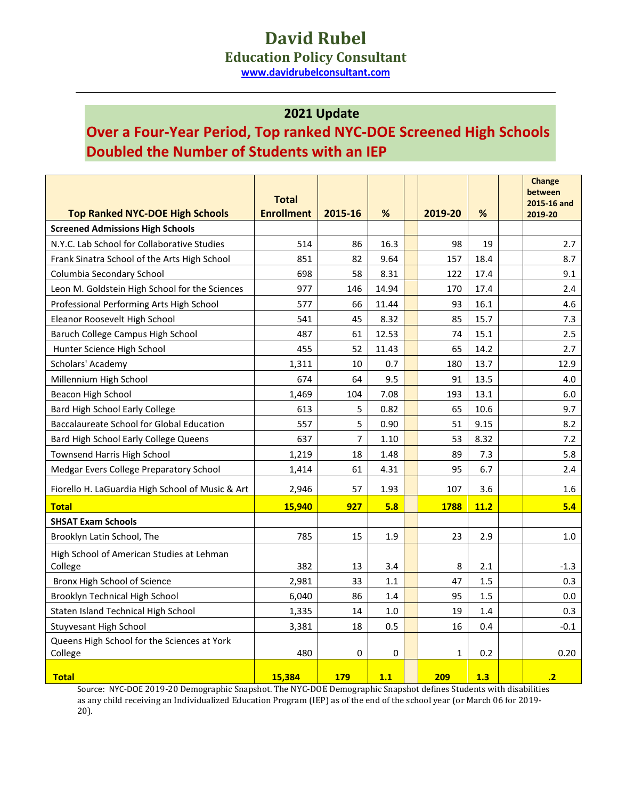## **David Rubel**

**Education Policy Consultant**

**[www.davidrubelconsultant.com](http://www.davidrubelconsultant.com/)**

## **2021 Update**

## **Over a Four-Year Period, Top ranked NYC-DOE Screened High Schools Doubled the Number of Students with an IEP**

|                                                        | <b>Total</b>      |                |       |              |      | <b>Change</b><br>between<br>2015-16 and |
|--------------------------------------------------------|-------------------|----------------|-------|--------------|------|-----------------------------------------|
| <b>Top Ranked NYC-DOE High Schools</b>                 | <b>Enrollment</b> | 2015-16        | %     | 2019-20      | %    | 2019-20                                 |
| <b>Screened Admissions High Schools</b>                |                   |                |       |              |      |                                         |
| N.Y.C. Lab School for Collaborative Studies            | 514               | 86             | 16.3  | 98           | 19   | 2.7                                     |
| Frank Sinatra School of the Arts High School           | 851               | 82             | 9.64  | 157          | 18.4 | 8.7                                     |
| Columbia Secondary School                              | 698               | 58             | 8.31  | 122          | 17.4 | 9.1                                     |
| Leon M. Goldstein High School for the Sciences         | 977               | 146            | 14.94 | 170          | 17.4 | 2.4                                     |
| Professional Performing Arts High School               | 577               | 66             | 11.44 | 93           | 16.1 | 4.6                                     |
| Eleanor Roosevelt High School                          | 541               | 45             | 8.32  | 85           | 15.7 | 7.3                                     |
| Baruch College Campus High School                      | 487               | 61             | 12.53 | 74           | 15.1 | 2.5                                     |
| Hunter Science High School                             | 455               | 52             | 11.43 | 65           | 14.2 | 2.7                                     |
| Scholars' Academy                                      | 1,311             | 10             | 0.7   | 180          | 13.7 | 12.9                                    |
| Millennium High School                                 | 674               | 64             | 9.5   | 91           | 13.5 | 4.0                                     |
| Beacon High School                                     | 1,469             | 104            | 7.08  | 193          | 13.1 | 6.0                                     |
| Bard High School Early College                         | 613               | 5              | 0.82  | 65           | 10.6 | 9.7                                     |
| <b>Baccalaureate School for Global Education</b>       | 557               | 5              | 0.90  | 51           | 9.15 | 8.2                                     |
| Bard High School Early College Queens                  | 637               | $\overline{7}$ | 1.10  | 53           | 8.32 | 7.2                                     |
| Townsend Harris High School                            | 1,219             | 18             | 1.48  | 89           | 7.3  | 5.8                                     |
| Medgar Evers College Preparatory School                | 1,414             | 61             | 4.31  | 95           | 6.7  | 2.4                                     |
| Fiorello H. LaGuardia High School of Music & Art       | 2,946             | 57             | 1.93  | 107          | 3.6  | 1.6                                     |
| <b>Total</b>                                           | 15,940            | 927            | 5.8   | 1788         | 11.2 | 5.4                                     |
| <b>SHSAT Exam Schools</b>                              |                   |                |       |              |      |                                         |
| Brooklyn Latin School, The                             | 785               | 15             | 1.9   | 23           | 2.9  | 1.0                                     |
| High School of American Studies at Lehman              |                   |                |       |              |      |                                         |
| College                                                | 382               | 13             | 3.4   | 8            | 2.1  | $-1.3$                                  |
| Bronx High School of Science                           | 2,981             | 33             | 1.1   | 47           | 1.5  | 0.3                                     |
| Brooklyn Technical High School                         | 6,040             | 86             | 1.4   | 95           | 1.5  | 0.0                                     |
| Staten Island Technical High School                    | 1,335             | 14             | 1.0   | 19           | 1.4  | 0.3                                     |
| Stuyvesant High School                                 | 3,381             | 18             | 0.5   | 16           | 0.4  | $-0.1$                                  |
| Queens High School for the Sciences at York<br>College | 480               | 0              | 0     | $\mathbf{1}$ | 0.2  | 0.20                                    |
| <b>Total</b>                                           | 15.384            | 179            | 1.1   | 209          | 1.3  | $\cdot$                                 |

Source: NYC-DOE 2019-20 Demographic Snapshot. The NYC-DOE Demographic Snapshot defines Students with disabilities as any child receiving an Individualized Education Program (IEP) as of the end of the school year (or March 06 for 2019- 20).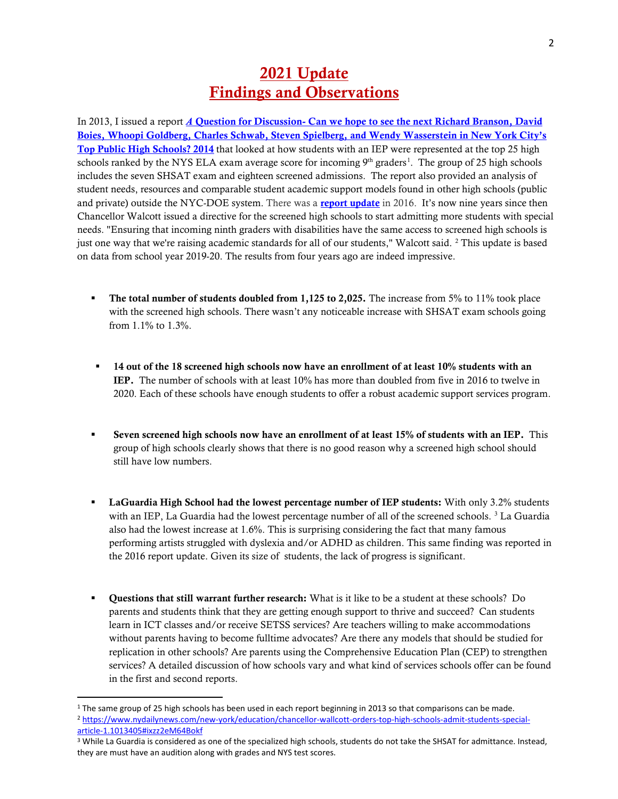## 2021 Update Findings and Observations

In 2013, I issued a report *A* Question for Discussion- Can we hope to see the next Richard Branson, David [Boies, Whoopi Goldberg, Charles Schwab, Steven Spielberg, and Wendy Wasserstein in New York City's](https://www.davidrubelconsultant.com/publications/NYC_top_public_high_schools_and_students_discussion_paper.pdf)  [Top Public High Schools? 2014](https://www.davidrubelconsultant.com/publications/NYC_top_public_high_schools_and_students_discussion_paper.pdf) that looked at how students with an IEP were represented at the top 25 high schools ranked by the NYS ELA exam average score for incoming  $9<sup>th</sup>$  graders<sup>[1](#page-1-0)</sup>. The group of 25 high schools includes the seven SHSAT exam and eighteen screened admissions. The report also provided an analysis of student needs, resources and comparable student academic support models found in other high schools (public and private) outside the NYC-DOE system. There was a **[report update](https://www.davidrubelconsultant.com/wp-content/uploads/2018/01/April-2016-Discussion-Paper-Update.pdf)** in 2016. It's now nine years since then Chancellor Walcott issued a directive for the screened high schools to start admitting more students with special needs. "Ensuring that incoming ninth graders with disabilities have the same access to screened high schools is just one way that we're raising academic standards for all of our students," Walcott said. <sup>[2](#page-1-1)</sup> This update is based on data from school year 2019-20. The results from four years ago are indeed impressive.

- **The total number of students doubled from 1,125 to 2,025.** The increase from 5% to 11% took place with the screened high schools. There wasn't any noticeable increase with SHSAT exam schools going from 1.1% to 1.3%.
- **14 out of the 18 screened high schools now have an enrollment of at least 10% students with an** IEP. The number of schools with at least 10% has more than doubled from five in 2016 to twelve in 2020. Each of these schools have enough students to offer a robust academic support services program.
- Seven screened high schools now have an enrollment of at least 15% of students with an IEP. This group of high schools clearly shows that there is no good reason why a screened high school should still have low numbers.
- **LaGuardia High School had the lowest percentage number of IEP students:** With only 3.2% students with an IEP, La Guardia had the lowest percentage number of all of the screened schools.<sup>[3](#page-1-2)</sup> La Guardia also had the lowest increase at 1.6%. This is surprising considering the fact that many famous performing artists struggled with dyslexia and/or ADHD as children. This same finding was reported in the 2016 report update. Given its size of students, the lack of progress is significant.
- Questions that still warrant further research: What is it like to be a student at these schools? Do parents and students think that they are getting enough support to thrive and succeed? Can students learn in ICT classes and/or receive SETSS services? Are teachers willing to make accommodations without parents having to become fulltime advocates? Are there any models that should be studied for replication in other schools? Are parents using the Comprehensive Education Plan (CEP) to strengthen services? A detailed discussion of how schools vary and what kind of services schools offer can be found in the first and second reports.

<span id="page-1-1"></span><span id="page-1-0"></span><sup>&</sup>lt;sup>1</sup> The same group of 25 high schools has been used in each report beginning in 2013 so that comparisons can be made.<br><sup>2</sup> https://www.nydailynews.com/new-york/education/chancellor-wallcott-orders-top-high-schools-admit-stu [article-1.1013405#ixzz2eM64Bokf](https://www.nydailynews.com/new-york/education/chancellor-wallcott-orders-top-high-schools-admit-students-special-article-1.1013405#ixzz2eM64Bokf)

<span id="page-1-2"></span><sup>3</sup> While La Guardia is considered as one of the specialized high schools, students do not take the SHSAT for admittance. Instead, they are must have an audition along with grades and NYS test scores.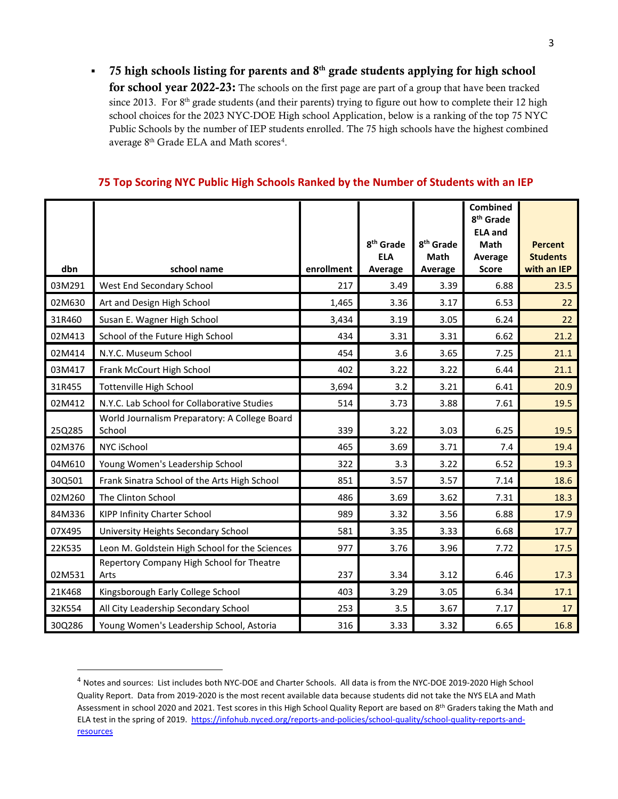$-75$  high schools listing for parents and  $8<sup>th</sup>$  grade students applying for high school for school year 2022-23: The schools on the first page are part of a group that have been tracked since 2013. For 8<sup>th</sup> grade students (and their parents) trying to figure out how to complete their 12 high school choices for the 2023 NYC-DOE High school Application, below is a ranking of the top 75 NYC Public Schools by the number of IEP students enrolled. The 75 high schools have the highest combined average  $8<sup>th</sup>$  Grade ELA and Math scores<sup>[4](#page-2-0)</sup>.

| 75 Top Scoring NYC Public High Schools Ranked by the Number of Students with an IEP |  |
|-------------------------------------------------------------------------------------|--|
|-------------------------------------------------------------------------------------|--|

| dbn    | school name                                             | enrollment | 8 <sup>th</sup> Grade<br><b>ELA</b><br>Average | 8 <sup>th</sup> Grade<br><b>Math</b><br>Average | <b>Combined</b><br>8 <sup>th</sup> Grade<br><b>ELA and</b><br>Math<br>Average<br><b>Score</b> | <b>Percent</b><br><b>Students</b><br>with an IEP |
|--------|---------------------------------------------------------|------------|------------------------------------------------|-------------------------------------------------|-----------------------------------------------------------------------------------------------|--------------------------------------------------|
| 03M291 | West End Secondary School                               | 217        | 3.49                                           | 3.39                                            | 6.88                                                                                          | 23.5                                             |
| 02M630 | Art and Design High School                              | 1,465      | 3.36                                           | 3.17                                            | 6.53                                                                                          | 22                                               |
| 31R460 | Susan E. Wagner High School                             | 3,434      | 3.19                                           | 3.05                                            | 6.24                                                                                          | 22                                               |
| 02M413 | School of the Future High School                        | 434        | 3.31                                           | 3.31                                            | 6.62                                                                                          | 21.2                                             |
| 02M414 | N.Y.C. Museum School                                    | 454        | 3.6                                            | 3.65                                            | 7.25                                                                                          | 21.1                                             |
| 03M417 | Frank McCourt High School                               | 402        | 3.22                                           | 3.22                                            | 6.44                                                                                          | 21.1                                             |
| 31R455 | <b>Tottenville High School</b>                          | 3,694      | 3.2                                            | 3.21                                            | 6.41                                                                                          | 20.9                                             |
| 02M412 | N.Y.C. Lab School for Collaborative Studies             | 514        | 3.73                                           | 3.88                                            | 7.61                                                                                          | 19.5                                             |
| 25Q285 | World Journalism Preparatory: A College Board<br>School | 339        | 3.22                                           | 3.03                                            | 6.25                                                                                          | 19.5                                             |
| 02M376 | NYC iSchool                                             | 465        | 3.69                                           | 3.71                                            | 7.4                                                                                           | 19.4                                             |
| 04M610 | Young Women's Leadership School                         | 322        | 3.3                                            | 3.22                                            | 6.52                                                                                          | 19.3                                             |
| 30Q501 | Frank Sinatra School of the Arts High School            | 851        | 3.57                                           | 3.57                                            | 7.14                                                                                          | 18.6                                             |
| 02M260 | The Clinton School                                      | 486        | 3.69                                           | 3.62                                            | 7.31                                                                                          | 18.3                                             |
| 84M336 | KIPP Infinity Charter School                            | 989        | 3.32                                           | 3.56                                            | 6.88                                                                                          | 17.9                                             |
| 07X495 | University Heights Secondary School                     | 581        | 3.35                                           | 3.33                                            | 6.68                                                                                          | 17.7                                             |
| 22K535 | Leon M. Goldstein High School for the Sciences          | 977        | 3.76                                           | 3.96                                            | 7.72                                                                                          | 17.5                                             |
| 02M531 | Repertory Company High School for Theatre<br>Arts       | 237        | 3.34                                           | 3.12                                            | 6.46                                                                                          | 17.3                                             |
| 21K468 | Kingsborough Early College School                       | 403        | 3.29                                           | 3.05                                            | 6.34                                                                                          | 17.1                                             |
| 32K554 | All City Leadership Secondary School                    | 253        | 3.5                                            | 3.67                                            | 7.17                                                                                          | 17                                               |
| 30Q286 | Young Women's Leadership School, Astoria                | 316        | 3.33                                           | 3.32                                            | 6.65                                                                                          | 16.8                                             |

<span id="page-2-0"></span><sup>&</sup>lt;sup>4</sup> Notes and sources: List includes both NYC-DOE and Charter Schools. All data is from the NYC-DOE 2019-2020 High School Quality Report. Data from 2019-2020 is the most recent available data because students did not take the NYS ELA and Math Assessment in school 2020 and 2021. Test scores in this High School Quality Report are based on 8th Graders taking the Math and ELA test in the spring of 2019. [https://infohub.nyced.org/reports-and-policies/school-quality/school-quality-reports-and](https://infohub.nyced.org/reports-and-policies/school-quality/school-quality-reports-and-resources)[resources](https://infohub.nyced.org/reports-and-policies/school-quality/school-quality-reports-and-resources)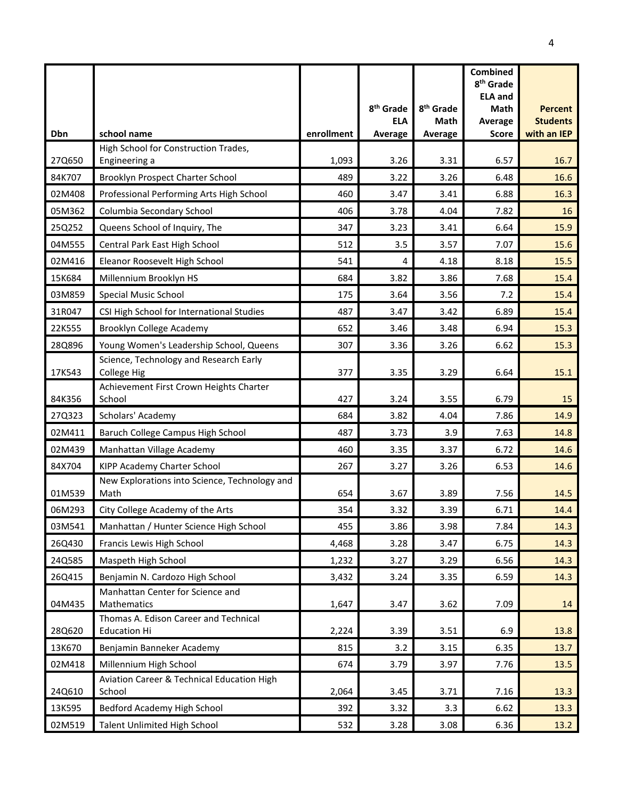|        |                                                              |            | 8 <sup>th</sup> Grade<br><b>ELA</b> | 8 <sup>th</sup> Grade<br>Math | <b>Combined</b><br>8 <sup>th</sup> Grade<br><b>ELA and</b><br><b>Math</b><br>Average | <b>Percent</b><br><b>Students</b> |
|--------|--------------------------------------------------------------|------------|-------------------------------------|-------------------------------|--------------------------------------------------------------------------------------|-----------------------------------|
| Dbn    | school name                                                  | enrollment | Average                             | Average                       | <b>Score</b>                                                                         | with an IEP                       |
|        | High School for Construction Trades,                         |            |                                     |                               |                                                                                      |                                   |
| 27Q650 | Engineering a                                                | 1,093      | 3.26                                | 3.31                          | 6.57                                                                                 | 16.7                              |
| 84K707 | Brooklyn Prospect Charter School                             | 489        | 3.22                                | 3.26                          | 6.48                                                                                 | 16.6                              |
| 02M408 | Professional Performing Arts High School                     | 460        | 3.47                                | 3.41                          | 6.88                                                                                 | 16.3                              |
| 05M362 | Columbia Secondary School                                    | 406        | 3.78                                | 4.04                          | 7.82                                                                                 | 16                                |
| 25Q252 | Queens School of Inquiry, The                                | 347        | 3.23                                | 3.41                          | 6.64                                                                                 | 15.9                              |
| 04M555 | Central Park East High School                                | 512        | 3.5                                 | 3.57                          | 7.07                                                                                 | 15.6                              |
| 02M416 | Eleanor Roosevelt High School                                | 541        | 4                                   | 4.18                          | 8.18                                                                                 | 15.5                              |
| 15K684 | Millennium Brooklyn HS                                       | 684        | 3.82                                | 3.86                          | 7.68                                                                                 | 15.4                              |
| 03M859 | <b>Special Music School</b>                                  | 175        | 3.64                                | 3.56                          | 7.2                                                                                  | 15.4                              |
| 31R047 | CSI High School for International Studies                    | 487        | 3.47                                | 3.42                          | 6.89                                                                                 | 15.4                              |
| 22K555 | Brooklyn College Academy                                     | 652        | 3.46                                | 3.48                          | 6.94                                                                                 | 15.3                              |
| 28Q896 | Young Women's Leadership School, Queens                      | 307        | 3.36                                | 3.26                          | 6.62                                                                                 | 15.3                              |
| 17K543 | Science, Technology and Research Early<br><b>College Hig</b> | 377        | 3.35                                | 3.29                          | 6.64                                                                                 | 15.1                              |
| 84K356 | Achievement First Crown Heights Charter<br>School            | 427        | 3.24                                | 3.55                          | 6.79                                                                                 | 15                                |
| 27Q323 | Scholars' Academy                                            | 684        | 3.82                                | 4.04                          | 7.86                                                                                 | 14.9                              |
| 02M411 | Baruch College Campus High School                            | 487        | 3.73                                | 3.9                           | 7.63                                                                                 | 14.8                              |
| 02M439 | Manhattan Village Academy                                    | 460        | 3.35                                | 3.37                          | 6.72                                                                                 | 14.6                              |
| 84X704 | KIPP Academy Charter School                                  | 267        | 3.27                                | 3.26                          | 6.53                                                                                 | 14.6                              |
| 01M539 | New Explorations into Science, Technology and<br>Math        | 654        | 3.67                                | 3.89                          | 7.56                                                                                 | 14.5                              |
| 06M293 | City College Academy of the Arts                             | 354        | 3.32                                | 3.39                          | 6.71                                                                                 | 14.4                              |
| 03M541 | Manhattan / Hunter Science High School                       | 455        | 3.86                                | 3.98                          | 7.84                                                                                 | 14.3                              |
| 26Q430 | Francis Lewis High School                                    | 4,468      | 3.28                                | 3.47                          | 6.75                                                                                 | 14.3                              |
| 24Q585 | Maspeth High School                                          | 1,232      | 3.27                                | 3.29                          | 6.56                                                                                 | 14.3                              |
| 26Q415 | Benjamin N. Cardozo High School                              | 3,432      | 3.24                                | 3.35                          | 6.59                                                                                 | 14.3                              |
| 04M435 | Manhattan Center for Science and<br>Mathematics              | 1,647      | 3.47                                | 3.62                          | 7.09                                                                                 | 14                                |
| 28Q620 | Thomas A. Edison Career and Technical<br><b>Education Hi</b> | 2,224      | 3.39                                | 3.51                          | 6.9                                                                                  | 13.8                              |
| 13K670 | Benjamin Banneker Academy                                    | 815        | 3.2                                 | 3.15                          | 6.35                                                                                 | 13.7                              |
| 02M418 | Millennium High School                                       | 674        | 3.79                                | 3.97                          | 7.76                                                                                 | 13.5                              |
| 24Q610 | Aviation Career & Technical Education High<br>School         | 2,064      | 3.45                                | 3.71                          | 7.16                                                                                 | 13.3                              |
| 13K595 | Bedford Academy High School                                  | 392        | 3.32                                | 3.3                           | 6.62                                                                                 | 13.3                              |
| 02M519 | Talent Unlimited High School                                 | 532        | 3.28                                | 3.08                          | 6.36                                                                                 | 13.2                              |